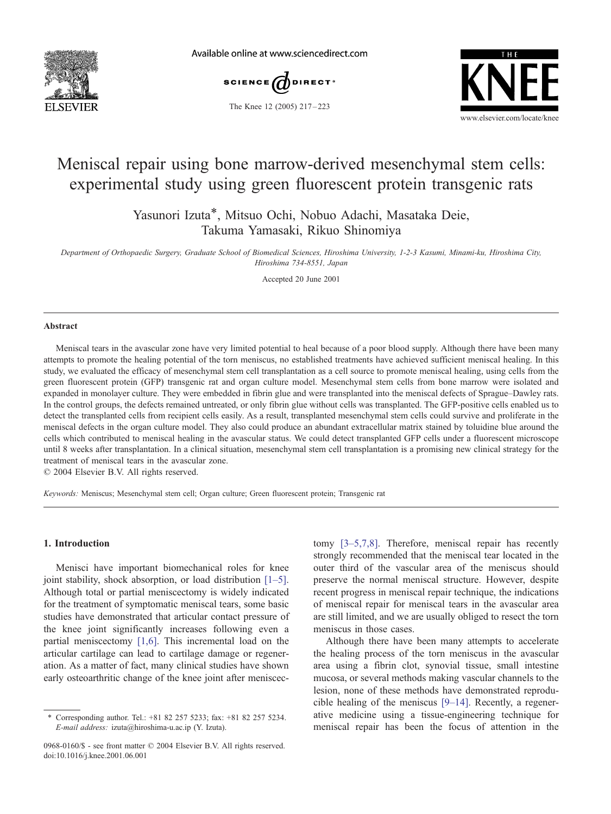

Available online at www.sciencedirect.com





### The Knee 12 (2005) 217 – 223

# Meniscal repair using bone marrow-derived mesenchymal stem cells: experimental study using green fluorescent protein transgenic rats

Yasunori Izuta\*, Mitsuo Ochi, Nobuo Adachi, Masataka Deie, Takuma Yamasaki, Rikuo Shinomiya

Department of Orthopaedic Surgery, Graduate School of Biomedical Sciences, Hiroshima University, 1-2-3 Kasumi, Minami-ku, Hiroshima City, Hiroshima 734-8551, Japan

Accepted 20 June 2001

#### Abstract

Meniscal tears in the avascular zone have very limited potential to heal because of a poor blood supply. Although there have been many attempts to promote the healing potential of the torn meniscus, no established treatments have achieved sufficient meniscal healing. In this study, we evaluated the efficacy of mesenchymal stem cell transplantation as a cell source to promote meniscal healing, using cells from the green fluorescent protein (GFP) transgenic rat and organ culture model. Mesenchymal stem cells from bone marrow were isolated and expanded in monolayer culture. They were embedded in fibrin glue and were transplanted into the meniscal defects of Sprague–Dawley rats. In the control groups, the defects remained untreated, or only fibrin glue without cells was transplanted. The GFP-positive cells enabled us to detect the transplanted cells from recipient cells easily. As a result, transplanted mesenchymal stem cells could survive and proliferate in the meniscal defects in the organ culture model. They also could produce an abundant extracellular matrix stained by toluidine blue around the cells which contributed to meniscal healing in the avascular status. We could detect transplanted GFP cells under a fluorescent microscope until 8 weeks after transplantation. In a clinical situation, mesenchymal stem cell transplantation is a promising new clinical strategy for the treatment of meniscal tears in the avascular zone.

 $© 2004 Elsevier B.V. All rights reserved.$ 

Keywords: Meniscus; Mesenchymal stem cell; Organ culture; Green fluorescent protein; Transgenic rat

# 1. Introduction

Menisci have important biomechanical roles for knee joint stability, shock absorption, or load distribution [\[1–5\].](#page-5-0) Although total or partial meniscectomy is widely indicated for the treatment of symptomatic meniscal tears, some basic studies have demonstrated that articular contact pressure of the knee joint significantly increases following even a partial meniscectomy [\[1,6\].](#page-5-0) This incremental load on the articular cartilage can lead to cartilage damage or regeneration. As a matter of fact, many clinical studies have shown early osteoarthritic change of the knee joint after meniscectomy [\[3–5,7,8\].](#page-5-0) Therefore, meniscal repair has recently strongly recommended that the meniscal tear located in the outer third of the vascular area of the meniscus should preserve the normal meniscal structure. However, despite recent progress in meniscal repair technique, the indications of meniscal repair for meniscal tears in the avascular area are still limited, and we are usually obliged to resect the torn meniscus in those cases.

Although there have been many attempts to accelerate the healing process of the torn meniscus in the avascular area using a fibrin clot, synovial tissue, small intestine mucosa, or several methods making vascular channels to the lesion, none of these methods have demonstrated reproducible healing of the meniscus [\[9–14\].](#page-6-0) Recently, a regenerative medicine using a tissue-engineering technique for meniscal repair has been the focus of attention in the

Corresponding author. Tel.: +81 82 257 5233; fax: +81 82 257 5234. E-mail address: izuta@hiroshima-u.ac.ip (Y. Izuta).

<sup>0968-0160/\$ -</sup> see front matter © 2004 Elsevier B.V. All rights reserved. doi:10.1016/j.knee.2001.06.001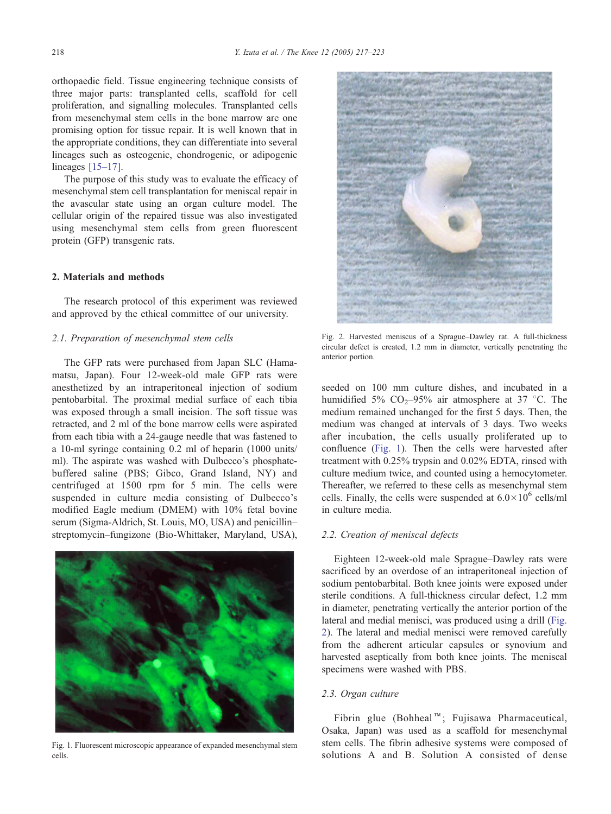orthopaedic field. Tissue engineering technique consists of three major parts: transplanted cells, scaffold for cell proliferation, and signalling molecules. Transplanted cells from mesenchymal stem cells in the bone marrow are one promising option for tissue repair. It is well known that in the appropriate conditions, they can differentiate into several lineages such as osteogenic, chondrogenic, or adipogenic lineages [\[15–17\].](#page-6-0)

The purpose of this study was to evaluate the efficacy of mesenchymal stem cell transplantation for meniscal repair in the avascular state using an organ culture model. The cellular origin of the repaired tissue was also investigated using mesenchymal stem cells from green fluorescent protein (GFP) transgenic rats.

# 2. Materials and methods

The research protocol of this experiment was reviewed and approved by the ethical committee of our university.

# 2.1. Preparation of mesenchymal stem cells

The GFP rats were purchased from Japan SLC (Hamamatsu, Japan). Four 12-week-old male GFP rats were anesthetized by an intraperitoneal injection of sodium pentobarbital. The proximal medial surface of each tibia was exposed through a small incision. The soft tissue was retracted, and 2 ml of the bone marrow cells were aspirated from each tibia with a 24-gauge needle that was fastened to a 10-ml syringe containing 0.2 ml of heparin (1000 units/ ml). The aspirate was washed with Dulbecco's phosphatebuffered saline (PBS; Gibco, Grand Island, NY) and centrifuged at 1500 rpm for 5 min. The cells were suspended in culture media consisting of Dulbecco's modified Eagle medium (DMEM) with 10% fetal bovine serum (Sigma-Aldrich, St. Louis, MO, USA) and penicillin– streptomycin–fungizone (Bio-Whittaker, Maryland, USA),



Fig. 1. Fluorescent microscopic appearance of expanded mesenchymal stem cells.



Fig. 2. Harvested meniscus of a Sprague–Dawley rat. A full-thickness circular defect is created, 1.2 mm in diameter, vertically penetrating the anterior portion.

seeded on 100 mm culture dishes, and incubated in a humidified 5%  $CO<sub>2</sub>$ -95% air atmosphere at 37 °C. The medium remained unchanged for the first 5 days. Then, the medium was changed at intervals of 3 days. Two weeks after incubation, the cells usually proliferated up to confluence (Fig. 1). Then the cells were harvested after treatment with 0.25% trypsin and 0.02% EDTA, rinsed with culture medium twice, and counted using a hemocytometer. Thereafter, we referred to these cells as mesenchymal stem cells. Finally, the cells were suspended at  $6.0\times10^6$  cells/ml in culture media.

## 2.2. Creation of meniscal defects

Eighteen 12-week-old male Sprague–Dawley rats were sacrificed by an overdose of an intraperitoneal injection of sodium pentobarbital. Both knee joints were exposed under sterile conditions. A full-thickness circular defect, 1.2 mm in diameter, penetrating vertically the anterior portion of the lateral and medial menisci, was produced using a drill (Fig. 2). The lateral and medial menisci were removed carefully from the adherent articular capsules or synovium and harvested aseptically from both knee joints. The meniscal specimens were washed with PBS.

## 2.3. Organ culture

Fibrin glue (Bohheal<sup>™</sup>; Fujisawa Pharmaceutical, Osaka, Japan) was used as a scaffold for mesenchymal stem cells. The fibrin adhesive systems were composed of solutions A and B. Solution A consisted of dense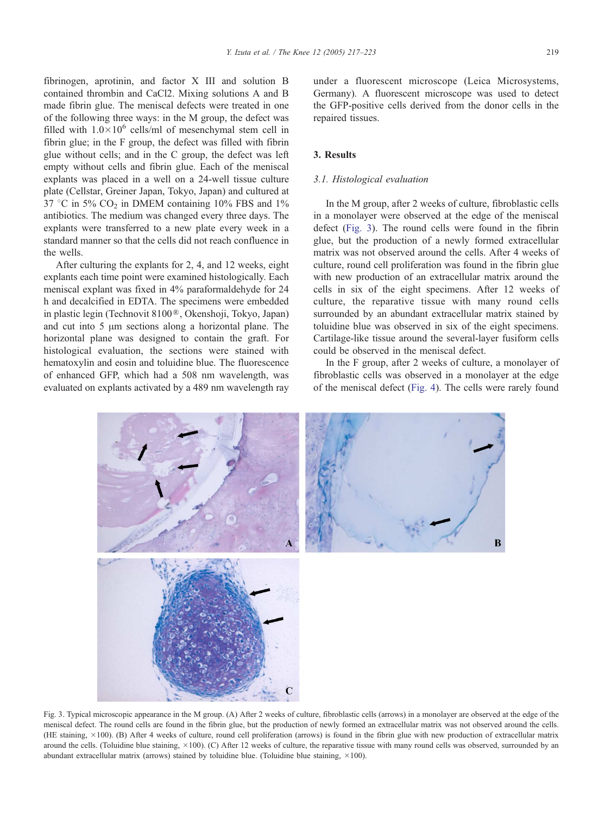fibrinogen, aprotinin, and factor X III and solution B contained thrombin and CaCl2. Mixing solutions A and B made fibrin glue. The meniscal defects were treated in one of the following three ways: in the M group, the defect was filled with  $1.0\times10^6$  cells/ml of mesenchymal stem cell in fibrin glue; in the F group, the defect was filled with fibrin glue without cells; and in the C group, the defect was left empty without cells and fibrin glue. Each of the meniscal explants was placed in a well on a 24-well tissue culture plate (Cellstar, Greiner Japan, Tokyo, Japan) and cultured at  $37^{\circ}$ C in 5% CO<sub>2</sub> in DMEM containing 10% FBS and 1% antibiotics. The medium was changed every three days. The explants were transferred to a new plate every week in a standard manner so that the cells did not reach confluence in the wells.

After culturing the explants for 2, 4, and 12 weeks, eight explants each time point were examined histologically. Each meniscal explant was fixed in 4% paraformaldehyde for 24 h and decalcified in EDTA. The specimens were embedded in plastic legin (Technovit 8100<sup>®</sup>, Okenshoji, Tokyo, Japan) and cut into  $5 \mu m$  sections along a horizontal plane. The horizontal plane was designed to contain the graft. For histological evaluation, the sections were stained with hematoxylin and eosin and toluidine blue. The fluorescence of enhanced GFP, which had a 508 nm wavelength, was evaluated on explants activated by a 489 nm wavelength ray

under a fluorescent microscope (Leica Microsystems, Germany). A fluorescent microscope was used to detect the GFP-positive cells derived from the donor cells in the repaired tissues.

## 3. Results

# 3.1. Histological evaluation

In the M group, after 2 weeks of culture, fibroblastic cells in a monolayer were observed at the edge of the meniscal defect (Fig. 3). The round cells were found in the fibrin glue, but the production of a newly formed extracellular matrix was not observed around the cells. After 4 weeks of culture, round cell proliferation was found in the fibrin glue with new production of an extracellular matrix around the cells in six of the eight specimens. After 12 weeks of culture, the reparative tissue with many round cells surrounded by an abundant extracellular matrix stained by toluidine blue was observed in six of the eight specimens. Cartilage-like tissue around the several-layer fusiform cells could be observed in the meniscal defect.

In the F group, after 2 weeks of culture, a monolayer of fibroblastic cells was observed in a monolayer at the edge of the meniscal defect ([Fig. 4\)](#page-3-0). The cells were rarely found



Fig. 3. Typical microscopic appearance in the M group. (A) After 2 weeks of culture, fibroblastic cells (arrows) in a monolayer are observed at the edge of the meniscal defect. The round cells are found in the fibrin glue, but the production of newly formed an extracellular matrix was not observed around the cells. (HE staining, 100). (B) After 4 weeks of culture, round cell proliferation (arrows) is found in the fibrin glue with new production of extracellular matrix around the cells. (Toluidine blue staining,  $\times 100$ ). (C) After 12 weeks of culture, the reparative tissue with many round cells was observed, surrounded by an abundant extracellular matrix (arrows) stained by toluidine blue. (Toluidine blue staining,  $\times$ 100).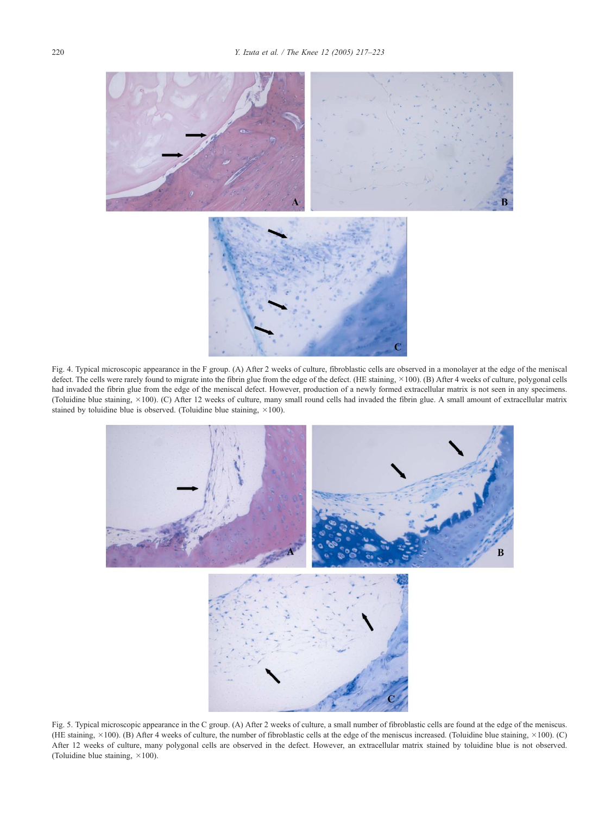<span id="page-3-0"></span>

Fig. 4. Typical microscopic appearance in the F group. (A) After 2 weeks of culture, fibroblastic cells are observed in a monolayer at the edge of the meniscal defect. The cells were rarely found to migrate into the fibrin glue from the edge of the defect. (HE staining,  $\times$ 100). (B) After 4 weeks of culture, polygonal cells had invaded the fibrin glue from the edge of the meniscal defect. However, production of a newly formed extracellular matrix is not seen in any specimens. (Toluidine blue staining, 100). (C) After 12 weeks of culture, many small round cells had invaded the fibrin glue. A small amount of extracellular matrix stained by toluidine blue is observed. (Toluidine blue staining,  $\times 100$ ).



Fig. 5. Typical microscopic appearance in the C group. (A) After 2 weeks of culture, a small number of fibroblastic cells are found at the edge of the meniscus. (HE staining,  $\times 100$ ). (B) After 4 weeks of culture, the number of fibroblastic cells at the edge of the meniscus increased. (Toluidine blue staining,  $\times 100$ ). (C) After 12 weeks of culture, many polygonal cells are observed in the defect. However, an extracellular matrix stained by toluidine blue is not observed. (Toluidine blue staining,  $\times 100$ ).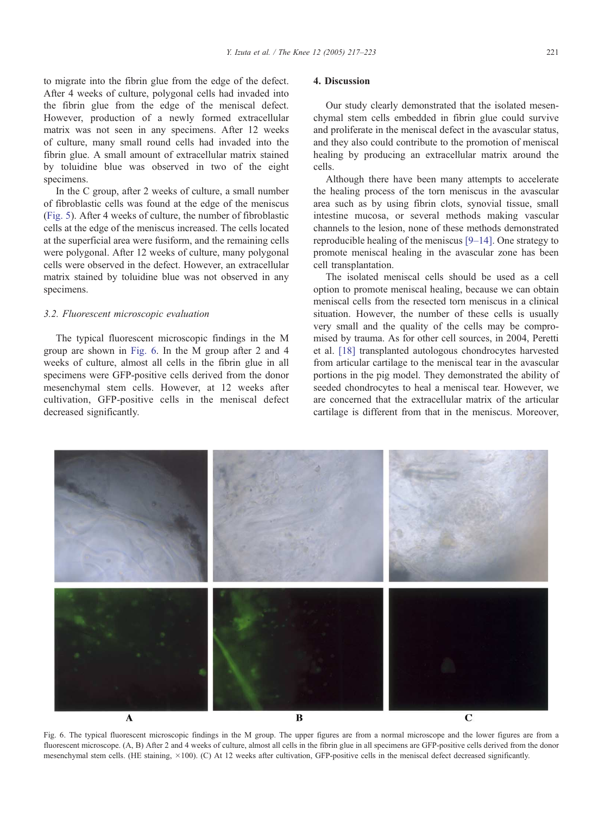to migrate into the fibrin glue from the edge of the defect. After 4 weeks of culture, polygonal cells had invaded into the fibrin glue from the edge of the meniscal defect. However, production of a newly formed extracellular matrix was not seen in any specimens. After 12 weeks of culture, many small round cells had invaded into the fibrin glue. A small amount of extracellular matrix stained by toluidine blue was observed in two of the eight specimens.

In the C group, after 2 weeks of culture, a small number of fibroblastic cells was found at the edge of the meniscus ([Fig. 5\)](#page-3-0). After 4 weeks of culture, the number of fibroblastic cells at the edge of the meniscus increased. The cells located at the superficial area were fusiform, and the remaining cells were polygonal. After 12 weeks of culture, many polygonal cells were observed in the defect. However, an extracellular matrix stained by toluidine blue was not observed in any specimens.

#### 3.2. Fluorescent microscopic evaluation

The typical fluorescent microscopic findings in the M group are shown in Fig. 6. In the M group after 2 and 4 weeks of culture, almost all cells in the fibrin glue in all specimens were GFP-positive cells derived from the donor mesenchymal stem cells. However, at 12 weeks after cultivation, GFP-positive cells in the meniscal defect decreased significantly.

### 4. Discussion

Our study clearly demonstrated that the isolated mesenchymal stem cells embedded in fibrin glue could survive and proliferate in the meniscal defect in the avascular status, and they also could contribute to the promotion of meniscal healing by producing an extracellular matrix around the cells.

Although there have been many attempts to accelerate the healing process of the torn meniscus in the avascular area such as by using fibrin clots, synovial tissue, small intestine mucosa, or several methods making vascular channels to the lesion, none of these methods demonstrated reproducible healing of the meniscus [\[9–14\].](#page-6-0) One strategy to promote meniscal healing in the avascular zone has been cell transplantation.

The isolated meniscal cells should be used as a cell option to promote meniscal healing, because we can obtain meniscal cells from the resected torn meniscus in a clinical situation. However, the number of these cells is usually very small and the quality of the cells may be compromised by trauma. As for other cell sources, in 2004, Peretti et al. [\[18\]](#page-6-0) transplanted autologous chondrocytes harvested from articular cartilage to the meniscal tear in the avascular portions in the pig model. They demonstrated the ability of seeded chondrocytes to heal a meniscal tear. However, we are concerned that the extracellular matrix of the articular cartilage is different from that in the meniscus. Moreover,



Fig. 6. The typical fluorescent microscopic findings in the M group. The upper figures are from a normal microscope and the lower figures are from a fluorescent microscope. (A, B) After 2 and 4 weeks of culture, almost all cells in the fibrin glue in all specimens are GFP-positive cells derived from the donor mesenchymal stem cells. (HE staining,  $\times$ 100). (C) At 12 weeks after cultivation, GFP-positive cells in the meniscal defect decreased significantly.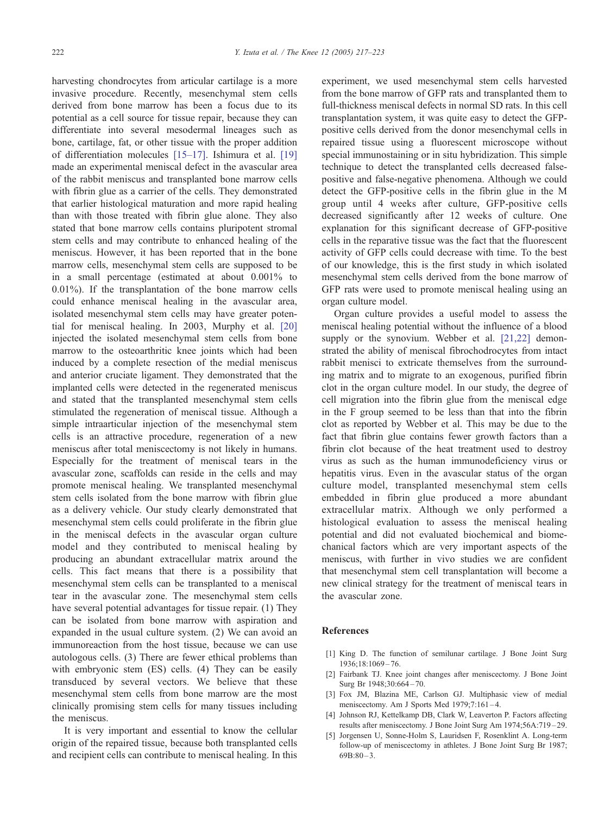<span id="page-5-0"></span>harvesting chondrocytes from articular cartilage is a more invasive procedure. Recently, mesenchymal stem cells derived from bone marrow has been a focus due to its potential as a cell source for tissue repair, because they can differentiate into several mesodermal lineages such as bone, cartilage, fat, or other tissue with the proper addition of differentiation molecules [\[15–17\].](#page-6-0) Ishimura et al. [\[19\]](#page-6-0) made an experimental meniscal defect in the avascular area of the rabbit meniscus and transplanted bone marrow cells with fibrin glue as a carrier of the cells. They demonstrated that earlier histological maturation and more rapid healing than with those treated with fibrin glue alone. They also stated that bone marrow cells contains pluripotent stromal stem cells and may contribute to enhanced healing of the meniscus. However, it has been reported that in the bone marrow cells, mesenchymal stem cells are supposed to be in a small percentage (estimated at about 0.001% to 0.01%). If the transplantation of the bone marrow cells could enhance meniscal healing in the avascular area, isolated mesenchymal stem cells may have greater potential for meniscal healing. In 2003, Murphy et al. [\[20\]](#page-6-0) injected the isolated mesenchymal stem cells from bone marrow to the osteoarthritic knee joints which had been induced by a complete resection of the medial meniscus and anterior cruciate ligament. They demonstrated that the implanted cells were detected in the regenerated meniscus and stated that the transplanted mesenchymal stem cells stimulated the regeneration of meniscal tissue. Although a simple intraarticular injection of the mesenchymal stem cells is an attractive procedure, regeneration of a new meniscus after total meniscectomy is not likely in humans. Especially for the treatment of meniscal tears in the avascular zone, scaffolds can reside in the cells and may promote meniscal healing. We transplanted mesenchymal stem cells isolated from the bone marrow with fibrin glue as a delivery vehicle. Our study clearly demonstrated that mesenchymal stem cells could proliferate in the fibrin glue in the meniscal defects in the avascular organ culture model and they contributed to meniscal healing by producing an abundant extracellular matrix around the cells. This fact means that there is a possibility that mesenchymal stem cells can be transplanted to a meniscal tear in the avascular zone. The mesenchymal stem cells have several potential advantages for tissue repair. (1) They can be isolated from bone marrow with aspiration and expanded in the usual culture system. (2) We can avoid an immunoreaction from the host tissue, because we can use autologous cells. (3) There are fewer ethical problems than with embryonic stem (ES) cells. (4) They can be easily transduced by several vectors. We believe that these mesenchymal stem cells from bone marrow are the most clinically promising stem cells for many tissues including the meniscus.

It is very important and essential to know the cellular origin of the repaired tissue, because both transplanted cells and recipient cells can contribute to meniscal healing. In this experiment, we used mesenchymal stem cells harvested from the bone marrow of GFP rats and transplanted them to full-thickness meniscal defects in normal SD rats. In this cell transplantation system, it was quite easy to detect the GFPpositive cells derived from the donor mesenchymal cells in repaired tissue using a fluorescent microscope without special immunostaining or in situ hybridization. This simple technique to detect the transplanted cells decreased falsepositive and false-negative phenomena. Although we could detect the GFP-positive cells in the fibrin glue in the M group until 4 weeks after culture, GFP-positive cells decreased significantly after 12 weeks of culture. One explanation for this significant decrease of GFP-positive cells in the reparative tissue was the fact that the fluorescent activity of GFP cells could decrease with time. To the best of our knowledge, this is the first study in which isolated mesenchymal stem cells derived from the bone marrow of GFP rats were used to promote meniscal healing using an organ culture model.

Organ culture provides a useful model to assess the meniscal healing potential without the influence of a blood supply or the synovium. Webber et al. [\[21,22\]](#page-6-0) demonstrated the ability of meniscal fibrochodrocytes from intact rabbit menisci to extricate themselves from the surrounding matrix and to migrate to an exogenous, purified fibrin clot in the organ culture model. In our study, the degree of cell migration into the fibrin glue from the meniscal edge in the F group seemed to be less than that into the fibrin clot as reported by Webber et al. This may be due to the fact that fibrin glue contains fewer growth factors than a fibrin clot because of the heat treatment used to destroy virus as such as the human immunodeficiency virus or hepatitis virus. Even in the avascular status of the organ culture model, transplanted mesenchymal stem cells embedded in fibrin glue produced a more abundant extracellular matrix. Although we only performed a histological evaluation to assess the meniscal healing potential and did not evaluated biochemical and biomechanical factors which are very important aspects of the meniscus, with further in vivo studies we are confident that mesenchymal stem cell transplantation will become a new clinical strategy for the treatment of meniscal tears in the avascular zone.

#### References

- [1] King D. The function of semilunar cartilage. J Bone Joint Surg 1936;18:1069 – 76.
- [2] Fairbank TJ. Knee joint changes after meniscectomy. J Bone Joint Surg Br 1948;30:664 – 70.
- [3] Fox JM, Blazina ME, Carlson GJ. Multiphasic view of medial meniscectomy. Am J Sports Med 1979;7:161-4.
- [4] Johnson RJ, Kettelkamp DB, Clark W, Leaverton P. Factors affecting results after meniscectomy. J Bone Joint Surg Am 1974;56A:719 – 29.
- [5] Jorgensen U, Sonne-Holm S, Lauridsen F, Rosenklint A. Long-term follow-up of meniscectomy in athletes. J Bone Joint Surg Br 1987;  $69B:80-3.$